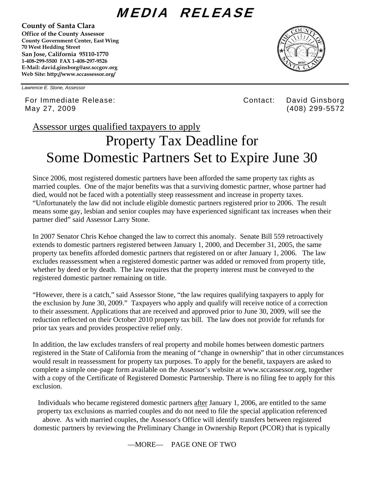## MEDIA RELEASE

**County of Santa Clara** 

**Office of the County Assessor County Government Center, East Wing 70 West Hedding Street San Jose, California 95110-1770 1-408-299-5500 FAX 1-408-297-9526 E-Mail: david.ginsborg@asr.sccgov.org Web Site: http://www.sccassessor.org/** 



*Lawrence E. Stone, Assessor* 

For Immediate Release: Contact: David Ginsborg May 27, 2009 (408) 299-5572

Assessor urges qualified taxpayers to apply

## Property Tax Deadline for Some Domestic Partners Set to Expire June 30

Since 2006, most registered domestic partners have been afforded the same property tax rights as married couples. One of the major benefits was that a surviving domestic partner, whose partner had died, would not be faced with a potentially steep reassessment and increase in property taxes. "Unfortunately the law did not include eligible domestic partners registered prior to 2006. The result means some gay, lesbian and senior couples may have experienced significant tax increases when their partner died" said Assessor Larry Stone.

In 2007 Senator Chris Kehoe changed the law to correct this anomaly. Senate Bill 559 retroactively extends to domestic partners registered between January 1, 2000, and December 31, 2005, the same property tax benefits afforded domestic partners that registered on or after January 1, 2006. The law excludes reassessment when a registered domestic partner was added or removed from property title, whether by deed or by death. The law requires that the property interest must be conveyed to the registered domestic partner remaining on title.

"However, there is a catch," said Assessor Stone, "the law requires qualifying taxpayers to apply for the exclusion by June 30, 2009." Taxpayers who apply and qualify will receive notice of a correction to their assessment. Applications that are received and approved prior to June 30, 2009, will see the reduction reflected on their October 2010 property tax bill. The law does not provide for refunds for prior tax years and provides prospective relief only.

In addition, the law excludes transfers of real property and mobile homes between domestic partners registered in the State of California from the meaning of "change in ownership" that in other circumstances would result in reassessment for property tax purposes. To apply for the benefit, taxpayers are asked to complete a simple one-page form available on the Assessor's website at www.sccassessor.org, together with a copy of the Certificate of Registered Domestic Partnership. There is no filing fee to apply for this exclusion.

Individuals who became registered domestic partners after January 1, 2006, are entitled to the same property tax exclusions as married couples and do not need to file the special application referenced above. As with married couples, the Assessor's Office will identify transfers between registered domestic partners by reviewing the Preliminary Change in Ownership Report (PCOR) that is typically

—MORE— PAGE ONE OF TWO